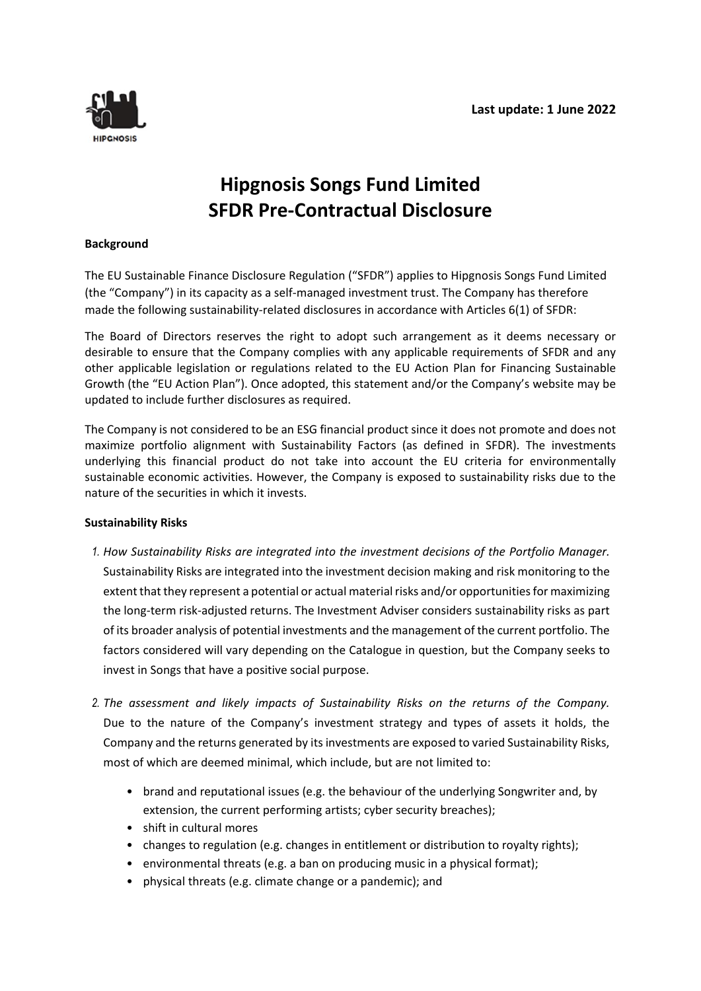

## **Hipgnosis Songs Fund Limited SFDR Pre-Contractual Disclosure**

## **Background**

The EU Sustainable Finance Disclosure Regulation ("SFDR") applies to Hipgnosis Songs Fund Limited (the "Company") in its capacity as a self-managed investment trust. The Company has therefore made the following sustainability-related disclosures in accordance with Articles 6(1) of SFDR:

The Board of Directors reserves the right to adopt such arrangement as it deems necessary or desirable to ensure that the Company complies with any applicable requirements of SFDR and any other applicable legislation or regulations related to the EU Action Plan for Financing Sustainable Growth (the "EU Action Plan"). Once adopted, this statement and/or the Company's website may be updated to include further disclosures as required.

The Company is not considered to be an ESG financial product since it does not promote and does not maximize portfolio alignment with Sustainability Factors (as defined in SFDR). The investments underlying this financial product do not take into account the EU criteria for environmentally sustainable economic activities. However, the Company is exposed to sustainability risks due to the nature of the securities in which it invests.

## **Sustainability Risks**

- *1. How Sustainability Risks are integrated into the investment decisions of the Portfolio Manager.* Sustainability Risks are integrated into the investment decision making and risk monitoring to the extent that they represent a potential or actual material risks and/or opportunities for maximizing the long-term risk-adjusted returns. The Investment Adviser considers sustainability risks as part of its broader analysis of potential investments and the management of the current portfolio. The factors considered will vary depending on the Catalogue in question, but the Company seeks to invest in Songs that have a positive social purpose.
- *2. The assessment and likely impacts of Sustainability Risks on the returns of the Company.*  Due to the nature of the Company's investment strategy and types of assets it holds, the Company and the returns generated by its investments are exposed to varied Sustainability Risks, most of which are deemed minimal, which include, but are not limited to:
	- brand and reputational issues (e.g. the behaviour of the underlying Songwriter and, by extension, the current performing artists; cyber security breaches);
	- shift in cultural mores
	- changes to regulation (e.g. changes in entitlement or distribution to royalty rights);
	- environmental threats (e.g. a ban on producing music in a physical format);
	- physical threats (e.g. climate change or a pandemic); and